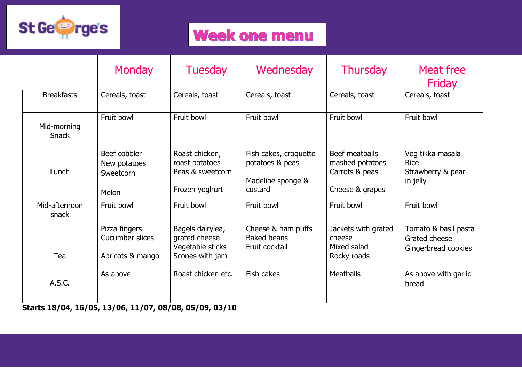

## **Week one menu**

|                             | <b>Monday</b>                                        | <b>Tuesday</b>                                                           | Wednesday                                                                | <b>Thursday</b>                                                        | Meat free<br>Friday                                              |
|-----------------------------|------------------------------------------------------|--------------------------------------------------------------------------|--------------------------------------------------------------------------|------------------------------------------------------------------------|------------------------------------------------------------------|
| <b>Breakfasts</b>           | Cereals, toast                                       | Cereals, toast                                                           | Cereals, toast                                                           | Cereals, toast                                                         | Cereals, toast                                                   |
| Mid-morning<br><b>Snack</b> | Fruit bowl                                           | Fruit bowl                                                               | Fruit bowl                                                               | Fruit bowl                                                             | Fruit bowl                                                       |
| Lunch                       | Beef cobbler<br>New potatoes<br>Sweetcorn<br>Melon   | Roast chicken,<br>roast potatoes<br>Peas & sweetcorn<br>Frozen yoghurt   | Fish cakes, croquette<br>potatoes & peas<br>Madeline sponge &<br>custard | Beef meatballs<br>mashed potatoes<br>Carrots & peas<br>Cheese & grapes | Veg tikka masala<br><b>Rice</b><br>Strawberry & pear<br>in jelly |
| Mid-afternoon<br>snack      | Fruit bowl                                           | Fruit bowl                                                               | Fruit bowl                                                               | Fruit bowl                                                             | Fruit bowl                                                       |
| Tea                         | Pizza fingers<br>Cucumber slices<br>Apricots & mango | Bagels dairylea,<br>grated cheese<br>Vegetable sticks<br>Scones with jam | Cheese & ham puffs<br><b>Baked beans</b><br>Fruit cocktail               | Jackets with grated<br>cheese<br>Mixed salad<br>Rocky roads            | Tomato & basil pasta<br>Grated cheese<br>Gingerbread cookies     |
| A.S.C.                      | As above                                             | Roast chicken etc.                                                       | Fish cakes                                                               | <b>Meatballs</b>                                                       | As above with garlic<br>bread                                    |

**Starts 18/04, 16/05, 13/06, 11/07, 08/08, 05/09, 03/10**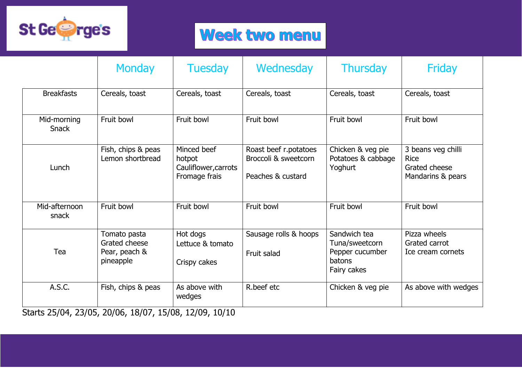

## Week two menu

|                             | <b>Monday</b>                                                                     | <b>Tuesday</b>                                                 | Wednesday                                                          | <b>Thursday</b>                                                            | Friday                                                                  |
|-----------------------------|-----------------------------------------------------------------------------------|----------------------------------------------------------------|--------------------------------------------------------------------|----------------------------------------------------------------------------|-------------------------------------------------------------------------|
| <b>Breakfasts</b>           | Cereals, toast                                                                    | Cereals, toast                                                 | Cereals, toast                                                     | Cereals, toast                                                             | Cereals, toast                                                          |
| Mid-morning<br><b>Snack</b> | Fruit bowl                                                                        | Fruit bowl                                                     | Fruit bowl                                                         | Fruit bowl                                                                 | Fruit bowl                                                              |
| Lunch                       | Fish, chips & peas<br>Lemon shortbread                                            | Minced beef<br>hotpot<br>Cauliflower, carrots<br>Fromage frais | Roast beef r.potatoes<br>Broccoli & sweetcorn<br>Peaches & custard | Chicken & veg pie<br>Potatoes & cabbage<br>Yoghurt                         | 3 beans veg chilli<br><b>Rice</b><br>Grated cheese<br>Mandarins & pears |
| Mid-afternoon<br>snack      | Fruit bowl                                                                        | Fruit bowl                                                     | Fruit bowl                                                         | Fruit bowl                                                                 | Fruit bowl                                                              |
| Tea                         | Tomato pasta<br>Grated cheese<br>Pear, peach &<br>pineapple                       | Hot dogs<br>Lettuce & tomato<br>Crispy cakes                   | Sausage rolls & hoops<br>Fruit salad                               | Sandwich tea<br>Tuna/sweetcorn<br>Pepper cucumber<br>batons<br>Fairy cakes | Pizza wheels<br>Grated carrot<br>Ice cream cornets                      |
| A.S.C.                      | Fish, chips & peas<br>$C_{\text{bulk}}$ 25/04 22/05 20/06 10/07 15/00 12/00 10/10 | As above with<br>wedges                                        | R.beef etc                                                         | Chicken & veg pie                                                          | As above with wedges                                                    |

Starts 25/04, 23/05, 20/06, 18/07, 15/08, 12/09, 10/10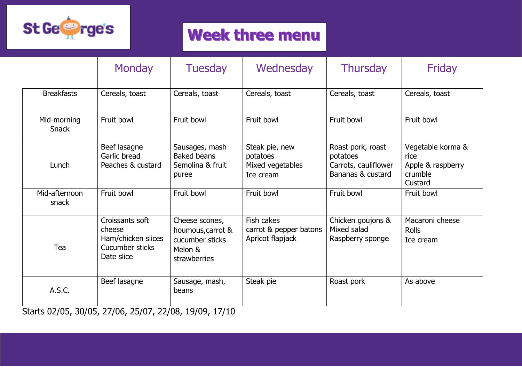

## **Week three menu**

|                             | <b>Monday</b>                                                                    | <b>Tuesday</b>                                                                    | Wednesday                                                   | <b>Thursday</b>                                                            | Friday                                                               |
|-----------------------------|----------------------------------------------------------------------------------|-----------------------------------------------------------------------------------|-------------------------------------------------------------|----------------------------------------------------------------------------|----------------------------------------------------------------------|
| <b>Breakfasts</b>           | Cereals, toast                                                                   | Cereals, toast                                                                    | Cereals, toast                                              | Cereals, toast                                                             | Cereals, toast                                                       |
| Mid-morning<br><b>Snack</b> | Fruit bowl                                                                       | Fruit bowl                                                                        | Fruit bowl                                                  | Fruit bowl                                                                 | Fruit bowl                                                           |
| Lunch                       | Beef lasagne<br>Garlic bread<br>Peaches & custard                                | Sausages, mash<br><b>Baked beans</b><br>Semolina & fruit<br>puree                 | Steak pie, new<br>potatoes<br>Mixed vegetables<br>Ice cream | Roast pork, roast<br>potatoes<br>Carrots, cauliflower<br>Bananas & custard | Vegetable korma &<br>rice<br>Apple & raspberry<br>crumble<br>Custard |
| Mid-afternoon<br>snack      | Fruit bowl                                                                       | Fruit bowl                                                                        | Fruit bowl                                                  | Fruit bowl                                                                 | Fruit bowl                                                           |
| Tea                         | Croissants soft<br>cheese<br>Ham/chicken slices<br>Cucumber sticks<br>Date slice | Cheese scones,<br>houmous, carrot &<br>cucumber sticks<br>Melon &<br>strawberries | Fish cakes<br>carrot & pepper batons<br>Apricot flapjack    | Chicken goujons &<br>Mixed salad<br>Raspberry sponge                       | Macaroni cheese<br><b>Rolls</b><br>Ice cream                         |
| A.S.C.                      | Beef lasagne                                                                     | Sausage, mash,<br>beans                                                           | Steak pie                                                   | Roast pork                                                                 | As above                                                             |

Starts 02/05, 30/05, 27/06, 25/07, 22/08, 19/09, 17/10